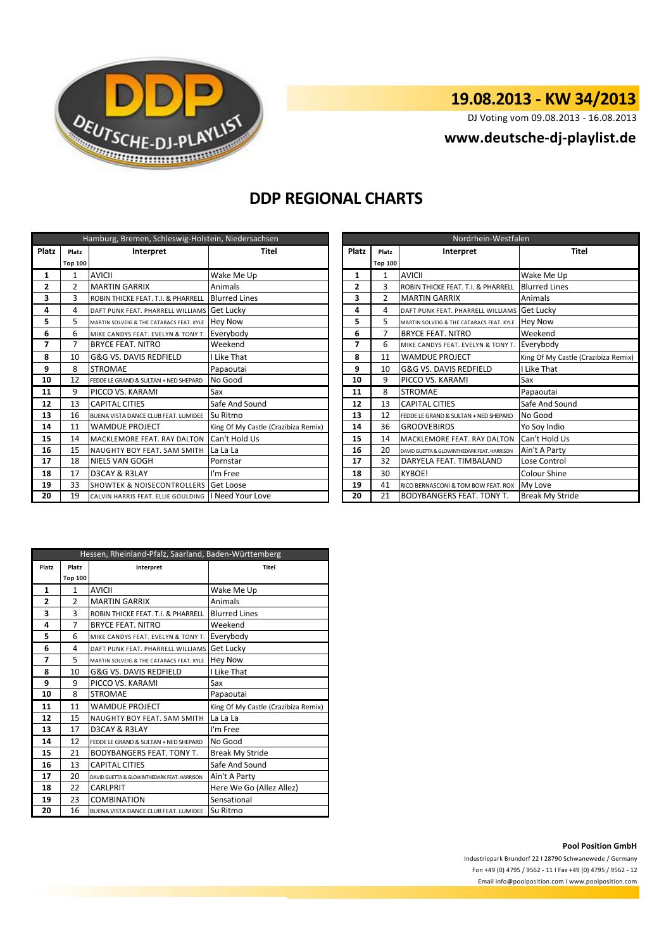

# **19.08.2013 - KW 34/2013**

DJ Voting vom 09.08.2013 - 16.08.2013

## **<www.deutsche-dj-playlist.de>**

## **DDP REGIONAL CHARTS**

| Hamburg, Bremen, Schleswig-Holstein, Niedersachsen |                |                                                     |                                     |  | Nordrhein-Westfalen |                |                                             |                        |
|----------------------------------------------------|----------------|-----------------------------------------------------|-------------------------------------|--|---------------------|----------------|---------------------------------------------|------------------------|
| <b>Platz</b>                                       | Platz          | Interpret                                           | Titel                               |  | <b>Platz</b>        | Platz          | Interpret                                   | <b>Titel</b>           |
|                                                    | <b>Top 100</b> |                                                     |                                     |  |                     | <b>Top 100</b> |                                             |                        |
| 1                                                  | $\mathbf{1}$   | <b>AVICII</b>                                       | Wake Me Up                          |  | 1                   | $\mathbf{1}$   | <b>AVICII</b>                               | Wake Me Up             |
| 2                                                  | $\overline{2}$ | <b>MARTIN GARRIX</b>                                | Animals                             |  | $\mathbf{2}$        | 3              | ROBIN THICKE FEAT. T.I. & PHARRELL          | <b>Blurred Lines</b>   |
| 3                                                  | 3              | ROBIN THICKE FEAT. T.I. & PHARRELL                  | <b>Blurred Lines</b>                |  | 3                   | $\overline{2}$ | <b>MARTIN GARRIX</b>                        | Animals                |
| 4                                                  | 4              | DAFT PUNK FEAT. PHARRELL WILLIAMS Get Lucky         |                                     |  | 4                   | 4              | DAFT PUNK FEAT. PHARRELL WILLIAMS Get Lucky |                        |
| 5                                                  | 5.             | MARTIN SOLVEIG & THE CATARACS FEAT. KYLE   Hey Now  |                                     |  | 5                   | 5              | MARTIN SOLVEIG & THE CATARACS FEAT. KYLE    | <b>Hey Now</b>         |
| 6                                                  | 6              | MIKE CANDYS FEAT. EVELYN & TONY T.                  | Everybody                           |  | 6                   | 7              | <b>BRYCE FEAT. NITRO</b>                    | Weekend                |
| 7                                                  | 7              | <b>BRYCE FEAT. NITRO</b>                            | Weekend                             |  | 7                   | 6              | MIKE CANDYS FEAT. EVELYN & TONY T.          | Everybody              |
| 8                                                  | 10             | G&G VS. DAVIS REDFIELD                              | I Like That                         |  | 8                   | 11             | <b>WAMDUE PROJECT</b>                       | King Of My Castle (Cı  |
| 9                                                  | 8              | <b>STROMAE</b>                                      | Papaoutai                           |  | 9                   | 10             | G&G VS. DAVIS REDFIELD                      | I Like That            |
| 10                                                 | 12             | FEDDE LE GRAND & SULTAN + NED SHEPARD               | No Good                             |  | 10                  | 9              | PICCO VS. KARAMI                            | Sax                    |
| 11                                                 | 9              | PICCO VS. KARAMI                                    | Sax                                 |  | 11                  | 8              | <b>STROMAE</b>                              | Papaoutai              |
| 12                                                 | 13             | <b>CAPITAL CITIES</b>                               | Safe And Sound                      |  | 12                  | 13             | <b>CAPITAL CITIES</b>                       | Safe And Sound         |
| 13                                                 | 16             | BUENA VISTA DANCE CLUB FEAT. LUMIDEE                | Su Ritmo                            |  | 13                  | 12             | FEDDE LE GRAND & SULTAN + NED SHEPARD       | No Good                |
| 14                                                 | 11             | <b>WAMDUE PROJECT</b>                               | King Of My Castle (Crazibiza Remix) |  | 14                  | 36             | <b>GROOVEBIRDS</b>                          | Yo Soy Indio           |
| 15                                                 | 14             | <b>MACKLEMORE FEAT. RAY DALTON</b>                  | Can't Hold Us                       |  | 15                  | 14             | <b>MACKLEMORE FEAT. RAY DALTON</b>          | Can't Hold Us          |
| 16                                                 | 15             | <b>NAUGHTY BOY FEAT. SAM SMITH</b>                  | La La La                            |  | 16                  | 20             | DAVID GUETTA & GLOWINTHEDARK FEAT, HARRISON | Ain't A Party          |
| 17                                                 | 18             | <b>NIELS VAN GOGH</b>                               | Pornstar                            |  | 17                  | 32             | DARYELA FEAT. TIMBALAND                     | Lose Control           |
| 18                                                 | 17             | D3CAY & R3LAY                                       | I'm Free                            |  | 18                  | 30             | <b>KYBOE!</b>                               | Colour Shine           |
| 19                                                 | 33             | <b>SHOWTEK &amp; NOISECONTROLLERS Get Loose</b>     |                                     |  | 19                  | 41             | RICO BERNASCONI & TOM BOW FEAT, ROX         | My Love                |
| 20                                                 | 19             | CALVIN HARRIS FEAT. ELLIE GOULDING   Need Your Love |                                     |  | 20                  | 21             | <b>BODYBANGERS FEAT. TONY T.</b>            | <b>Break My Stride</b> |

|                | Hamburg, Bremen, Schleswig-Holstein, Niedersachsen |                                                     |                                     |  | Nordrhein-Westfalen     |                |                                               |                                     |  |  |
|----------------|----------------------------------------------------|-----------------------------------------------------|-------------------------------------|--|-------------------------|----------------|-----------------------------------------------|-------------------------------------|--|--|
| atz            | Platz                                              | Interpret                                           | Titel                               |  | Platz                   | Platz          | Interpret                                     | Titel                               |  |  |
|                | Top 100                                            |                                                     |                                     |  |                         | <b>Top 100</b> |                                               |                                     |  |  |
| 1              |                                                    | <b>AVICII</b>                                       | Wake Me Up                          |  | 1                       |                | <b>AVICII</b>                                 | Wake Me Up                          |  |  |
| 2              | $\overline{2}$                                     | <b>MARTIN GARRIX</b>                                | <b>Animals</b>                      |  | $\overline{2}$          | 3              | <b>ROBIN THICKE FEAT. T.I. &amp; PHARRELL</b> | <b>Blurred Lines</b>                |  |  |
| 3              | 3                                                  | ROBIN THICKE FEAT. T.I. & PHARRELL                  | <b>Blurred Lines</b>                |  | 3                       | 2              | <b>MARTIN GARRIX</b>                          | Animals                             |  |  |
| 4              | 4                                                  | DAFT PUNK FEAT. PHARRELL WILLIAMS                   | <b>Get Lucky</b>                    |  | 4                       | 4              | DAFT PUNK FEAT. PHARRELL WILLIAMS Get Lucky   |                                     |  |  |
| 5              | 5                                                  | MARTIN SOLVEIG & THE CATARACS FEAT. KYLE            | <b>Hev Now</b>                      |  | 5                       | 5.             | MARTIN SOLVEIG & THE CATARACS FEAT. KYLE      | <b>Hey Now</b>                      |  |  |
| 6              | 6                                                  | MIKE CANDYS FEAT. EVELYN & TONY T.                  | Everybody                           |  | 6                       |                | <b>BRYCE FEAT. NITRO</b>                      | Weekend                             |  |  |
|                |                                                    | <b>BRYCE FEAT. NITRO</b>                            | Weekend                             |  | $\overline{\mathbf{z}}$ | 6              | MIKE CANDYS FEAT. EVELYN & TONY T.            | Everybody                           |  |  |
| 8              | 10                                                 | G&G VS. DAVIS REDFIELD                              | I Like That                         |  | 8                       | 11             | <b>WAMDUE PROJECT</b>                         | King Of My Castle (Crazibiza Remix) |  |  |
| g              | 8                                                  | <b>STROMAE</b>                                      | Papaoutai                           |  | 9                       | 10             | G&G VS. DAVIS REDFIELD                        | I Like That                         |  |  |
| LO             | 12                                                 | FEDDE LE GRAND & SULTAN + NED SHEPARD               | No Good                             |  | 10                      | 9              | PICCO VS. KARAMI                              | Sax                                 |  |  |
| 11             | 9                                                  | PICCO VS. KARAMI                                    | Sax                                 |  | 11                      | 8              | <b>STROMAE</b>                                | Papaoutai                           |  |  |
| 12             | 13                                                 | <b>CAPITAL CITIES</b>                               | Safe And Sound                      |  | 12                      | 13             | <b>CAPITAL CITIES</b>                         | Safe And Sound                      |  |  |
| l3             | 16                                                 | BUENA VISTA DANCE CLUB FEAT. LUMIDEE                | Su Ritmo                            |  | 13                      | 12             | FEDDE LE GRAND & SULTAN + NED SHEPARD         | No Good                             |  |  |
| 14             | 11                                                 | <b>WAMDUE PROJECT</b>                               | King Of My Castle (Crazibiza Remix) |  | 14                      | 36             | <b>GROOVEBIRDS</b>                            | Yo Soy Indio                        |  |  |
| 15             | 14                                                 | <b>MACKLEMORE FEAT. RAY DALTON</b>                  | Can't Hold Us                       |  | 15                      | 14             | MACKLEMORE FEAT. RAY DALTON                   | Can't Hold Us                       |  |  |
| .6             | 15                                                 | NAUGHTY BOY FEAT. SAM SMITH                         | La La La                            |  | 16                      | 20             | DAVID GUETTA & GLOWINTHEDARK FEAT, HARRISON   | Ain't A Party                       |  |  |
| $\overline{7}$ | 18                                                 | <b>NIELS VAN GOGH</b>                               | Pornstar                            |  | 17                      | 32             | DARYELA FEAT. TIMBALAND                       | Lose Control                        |  |  |
| 18             | 17                                                 | D3CAY & R3LAY                                       | I'm Free                            |  | 18                      | 30             | <b>KYBOE!</b>                                 | Colour Shine                        |  |  |
| ۱9             | 33                                                 | <b>SHOWTEK &amp; NOISECONTROLLERS Get Loose</b>     |                                     |  | 19                      | 41             | RICO BERNASCONI & TOM BOW FEAT. ROX           | My Love                             |  |  |
| 20             | 19                                                 | CALVIN HARRIS FEAT. ELLIE GOULDING   Need Your Love |                                     |  | 20                      | 21             | <b>BODYBANGERS FEAT. TONY T.</b>              | <b>Break My Stride</b>              |  |  |

| Hessen, Rheinland-Pfalz, Saarland, Baden-Württemberg |                    |                                             |                                     |  |  |  |  |
|------------------------------------------------------|--------------------|---------------------------------------------|-------------------------------------|--|--|--|--|
| Platz                                                | Platz<br>Interpret |                                             | Titel                               |  |  |  |  |
|                                                      | <b>Top 100</b>     |                                             |                                     |  |  |  |  |
| 1                                                    | $\mathbf{1}$       | <b>AVICII</b>                               | Wake Me Up                          |  |  |  |  |
| $\overline{2}$                                       | $\overline{2}$     | <b>MARTIN GARRIX</b>                        | Animals                             |  |  |  |  |
| 3                                                    | 3                  | ROBIN THICKE FEAT. T.I. & PHARRELL          | <b>Blurred Lines</b>                |  |  |  |  |
| 4                                                    | 7                  | <b>BRYCE FEAT. NITRO</b>                    | Weekend                             |  |  |  |  |
| 5                                                    | 6                  | MIKE CANDYS FFAT. FVFLYN & TONY T.          | Everybody                           |  |  |  |  |
| 6                                                    | 4                  | DAFT PUNK FFAT. PHARRFLL WILLIAMS           | Get Lucky                           |  |  |  |  |
| 7                                                    | 5                  | MARTIN SOLVEIG & THE CATARACS FEAT. KYLE    | <b>Hey Now</b>                      |  |  |  |  |
| 8                                                    | 10                 | G&G VS. DAVIS REDFIELD                      | I Like That                         |  |  |  |  |
| 9                                                    | q                  | PICCO VS. KARAMI                            | Sax                                 |  |  |  |  |
| 10                                                   | 8                  | <b>STROMAE</b>                              | Papaoutai                           |  |  |  |  |
| 11                                                   | 11                 | <b>WAMDUE PROJECT</b>                       | King Of My Castle (Crazibiza Remix) |  |  |  |  |
| 12                                                   | 15                 | NAUGHTY BOY FEAT. SAM SMITH                 | La La La                            |  |  |  |  |
| 13                                                   | 17                 | D3CAY & R3LAY                               | I'm Free                            |  |  |  |  |
| 14                                                   | 12                 | FFDDF LF GRAND & SULTAN + NFD SHFPARD       | No Good                             |  |  |  |  |
| 15                                                   | 21                 | <b>BODYBANGERS FEAT. TONY T.</b>            | <b>Break My Stride</b>              |  |  |  |  |
| 16                                                   | 13                 | <b>CAPITAL CITIES</b>                       | Safe And Sound                      |  |  |  |  |
| 17                                                   | 20                 | DAVID GUETTA & GLOWINTHEDARK FEAT, HARRISON | Ain't A Party                       |  |  |  |  |
| 18                                                   | 22                 | CARLPRIT                                    | Here We Go (Allez Allez)            |  |  |  |  |
| 19                                                   | 23                 | <b>COMBINATION</b>                          | Sensational                         |  |  |  |  |
| 20                                                   | 16                 | BUENA VISTA DANCE CLUB FEAT. LUMIDEE        | Su Ritmo                            |  |  |  |  |

### **Pool Position GmbH**

Industriepark Brundorf 22 I 28790 Schwanewede / Germany Fon +49 (0) 4795 / 9562 - 11 I Fax +49 (0) 4795 / 9562 - 12 <Email info@poolposition.com I www.poolposition.com>